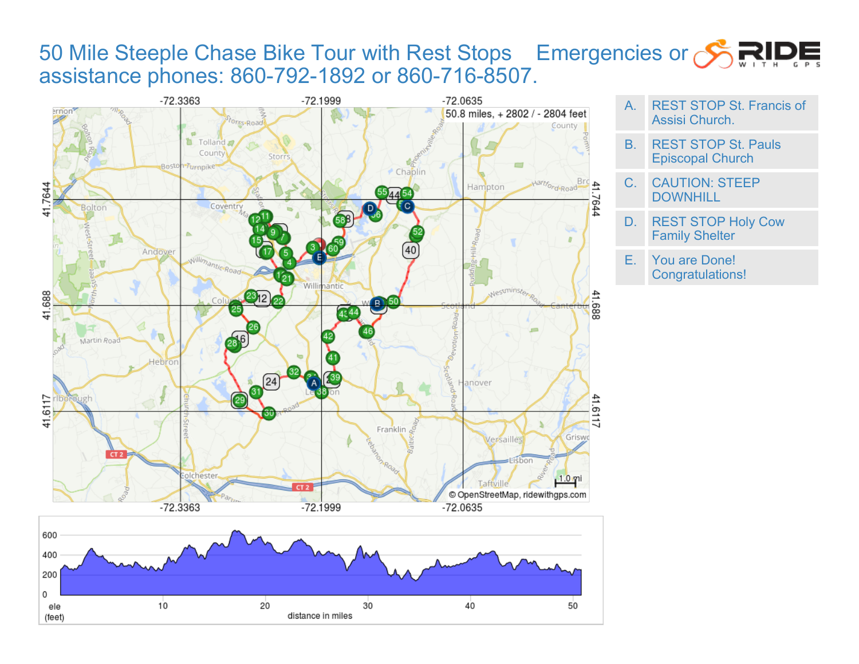## 50 Mile Steeple Chase Bike Tour with Rest Stops Emergencies or STPP assistance phones: 860-792-1892 or 860-716-8507.





- A. REST STOP St. Francis of Assisi Church.
- B. REST STOP St. Pauls Episcopal Church
- C. CAUTION: STEEP **DOWNHILL**
- D. REST STOP Holy Cow Family Shelter

E. You are Done! Congratulations!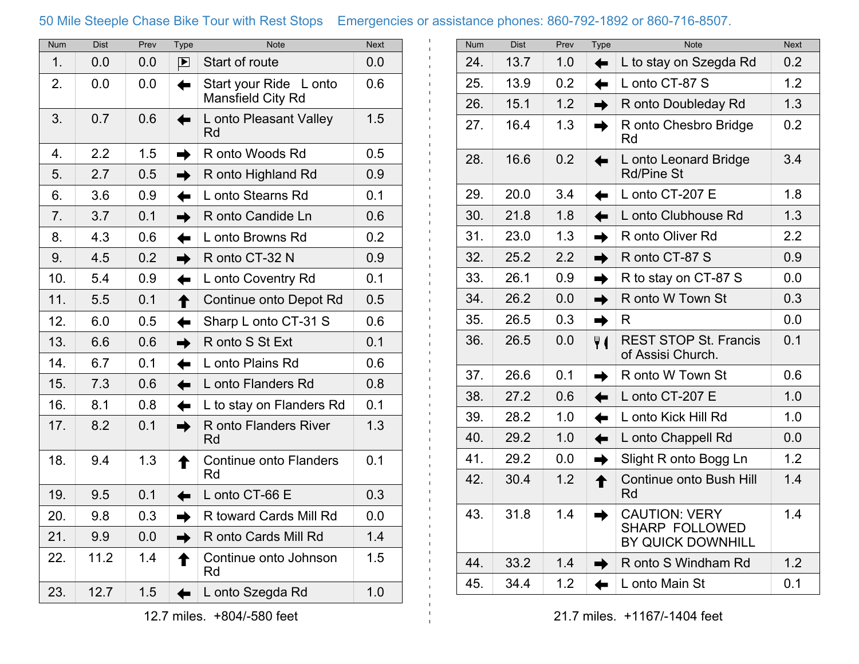## 50 Mile Steeple Chase Bike Tour with Rest Stops Emergencies or assistance phones: 860-792-1892 or 860-716-8507.

 $\mathbf{1}$ 

| <b>Num</b> | <b>Dist</b> | Prev | <b>Type</b>     | <b>Note</b>                                    | <b>Next</b> |
|------------|-------------|------|-----------------|------------------------------------------------|-------------|
| 1.         | 0.0         | 0.0  | P               | Start of route                                 | 0.0         |
| 2.         | 0.0         | 0.0  | ⇚               | Start your Ride<br>L onto<br>Mansfield City Rd | 0.6         |
| 3.         | 0.7         | 0.6  | ⇚               | L onto Pleasant Valley<br><b>Rd</b>            | 1.5         |
| 4.         | 2.2         | 1.5  | $\rightarrow$   | R onto Woods Rd                                | 0.5         |
| 5.         | 2.7         | 0.5  | $\rightarrow$   | R onto Highland Rd                             | 0.9         |
| 6.         | 3.6         | 0.9  | ⇚               | L onto Stearns Rd                              | 0.1         |
| 7.         | 3.7         | 0.1  | $\rightarrow$   | R onto Candide Ln                              | 0.6         |
| 8.         | 4.3         | 0.6  | ✦               | L onto Browns Rd                               | 0.2         |
| 9.         | 4.5         | 0.2  | $\rightarrow$   | R onto CT-32 N                                 | 0.9         |
| 10.        | 5.4         | 0.9  | ⇚               | L onto Coventry Rd                             | 0.1         |
| 11.        | 5.5         | 0.1  | ↟               | Continue onto Depot Rd                         | 0.5         |
| 12.        | 6.0         | 0.5  | $\leftarrow$    | Sharp L onto CT-31 S                           | 0.6         |
| 13.        | 6.6         | 0.6  | $\rightarrow$   | R onto S St Ext                                | 0.1         |
| 14.        | 6.7         | 0.1  | ⇚               | L onto Plains Rd                               | 0.6         |
| 15.        | 7.3         | 0.6  | ⇚               | L onto Flanders Rd                             | 0.8         |
| 16.        | 8.1         | 0.8  | ⇚               | L to stay on Flanders Rd                       | 0.1         |
| 17.        | 8.2         | 0.1  | $\rightarrow$   | R onto Flanders River<br>Rd                    | 1.3         |
| 18.        | 9.4         | 1.3  | ↟               | <b>Continue onto Flanders</b><br>Rd            | 0.1         |
| 19.        | 9.5         | 0.1  | $\blacklozenge$ | L onto CT-66 E                                 | 0.3         |
| 20.        | 9.8         | 0.3  | $\rightarrow$   | R toward Cards Mill Rd                         | 0.0         |
| 21.        | 9.9         | 0.0  | $\rightarrow$   | R onto Cards Mill Rd                           | 1.4         |
| 22.        | 11.2        | 1.4  | ↟               | Continue onto Johnson<br>Rd                    | 1.5         |
| 23.        | 12.7        | 1.5  | ←               | L onto Szegda Rd                               | 1.0         |

| Num | <b>Dist</b> | Prev | <b>Type</b>   | <b>Note</b>                                                        | <b>Next</b> |
|-----|-------------|------|---------------|--------------------------------------------------------------------|-------------|
| 24. | 13.7        | 1.0  | ⇚             | L to stay on Szegda Rd                                             | 0.2         |
| 25. | 13.9        | 0.2  | $\leftarrow$  | L onto CT-87 S                                                     | 1.2         |
| 26. | 15.1        | 1.2  | $\rightarrow$ | R onto Doubleday Rd                                                | 1.3         |
| 27. | 16.4        | 1.3  | $\rightarrow$ | R onto Chesbro Bridge<br>Rd                                        | 0.2         |
| 28. | 16.6        | 0.2  | ←             | L onto Leonard Bridge<br><b>Rd/Pine St</b>                         | 3.4         |
| 29. | 20.0        | 3.4  | ⇚             | L onto CT-207 E                                                    | 1.8         |
| 30. | 21.8        | 1.8  | ⇚             | L onto Clubhouse Rd                                                | 1.3         |
| 31. | 23.0        | 1.3  | $\rightarrow$ | R onto Oliver Rd                                                   | 2.2         |
| 32. | 25.2        | 2.2  | $\rightarrow$ | R onto CT-87 S                                                     | 0.9         |
| 33. | 26.1        | 0.9  | $\rightarrow$ | R to stay on CT-87 S                                               | 0.0         |
| 34. | 26.2        | 0.0  | $\rightarrow$ | R onto W Town St                                                   | 0.3         |
| 35. | 26.5        | 0.3  | $\rightarrow$ | R                                                                  | 0.0         |
| 36. | 26.5        | 0.0  | Ψſ            | <b>REST STOP St. Francis</b><br>of Assisi Church.                  | 0.1         |
| 37. | 26.6        | 0.1  | $\rightarrow$ | R onto W Town St                                                   | 0.6         |
| 38. | 27.2        | 0.6  | ⇚             | L onto CT-207 E                                                    | 1.0         |
| 39. | 28.2        | 1.0  | ⇚             | L onto Kick Hill Rd                                                | 1.0         |
| 40. | 29.2        | 1.0  | ✦             | L onto Chappell Rd                                                 | 0.0         |
| 41. | 29.2        | 0.0  | $\rightarrow$ | Slight R onto Bogg Ln                                              | 1.2         |
| 42. | 30.4        | 1.2  | ↑             | Continue onto Bush Hill<br>Rd                                      | 1.4         |
| 43. | 31.8        | 1.4  | $\rightarrow$ | <b>CAUTION: VERY</b><br><b>SHARP FOLLOWED</b><br>BY QUICK DOWNHILL | 1.4         |
| 44. | 33.2        | 1.4  | $\rightarrow$ | R onto S Windham Rd                                                | 1.2         |
| 45. | 34.4        | 1.2  |               | L onto Main St                                                     | 0.1         |
|     |             |      |               |                                                                    |             |

21.7 miles. +1167/-1404 feet

12.7 miles. +804/-580 feet